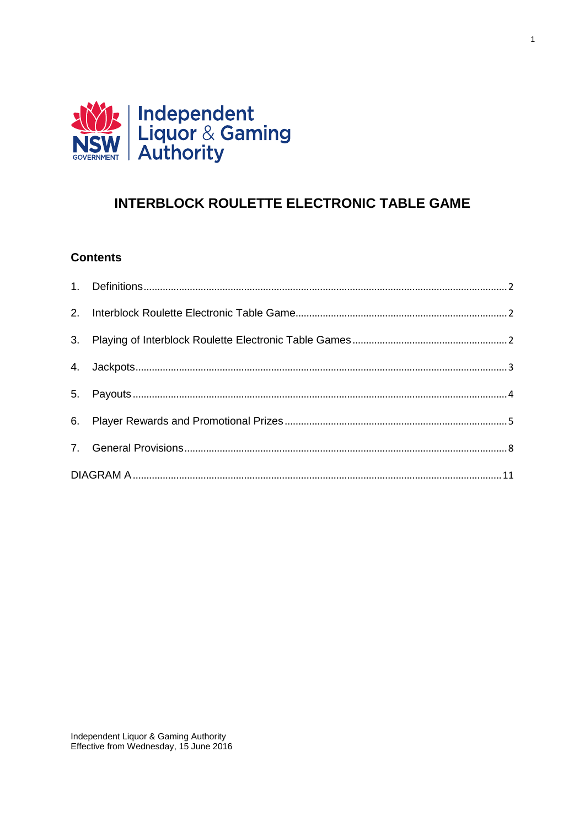

# **INTERBLOCK ROULETTE ELECTRONIC TABLE GAME**

 $\overline{1}$ 

# **Contents**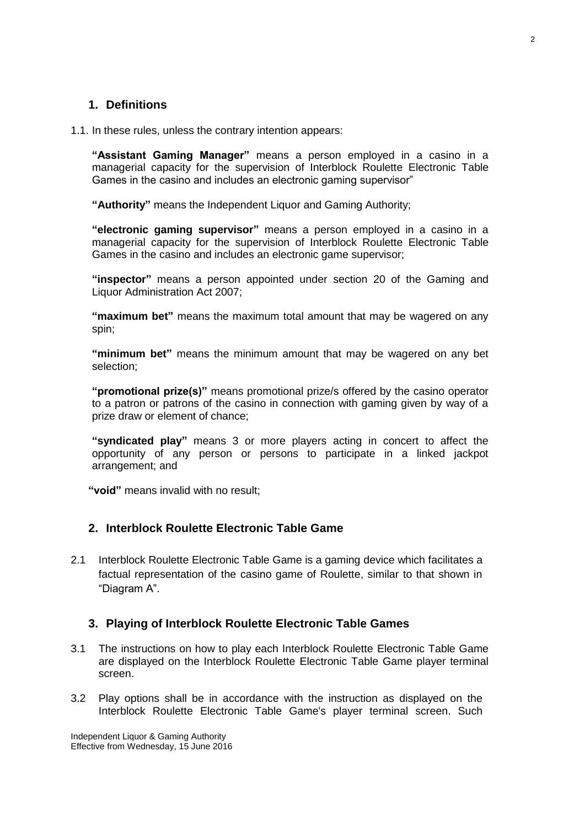### <span id="page-1-0"></span>**1. Definitions**

1.1. In these rules, unless the contrary intention appears:

**"Assistant Gaming Manager"** means a person employed in a casino in a managerial capacity for the supervision of Interblock Roulette Electronic Table Games in the casino and includes an electronic gaming supervisor"

**"Authority"** means the Independent Liquor and Gaming Authority;

**"electronic gaming supervisor"** means a person employed in a casino in a managerial capacity for the supervision of Interblock Roulette Electronic Table Games in the casino and includes an electronic game supervisor;

**"inspector"** means a person appointed under section 20 of the Gaming and Liquor Administration Act 2007;

**"maximum bet"** means the maximum total amount that may be wagered on any spin;

**"minimum bet"** means the minimum amount that may be wagered on any bet selection;

**"promotional prize(s)"** means promotional prize/s offered by the casino operator to a patron or patrons of the casino in connection with gaming given by way of a prize draw or element of chance;

**"syndicated play"** means 3 or more players acting in concert to affect the opportunity of any person or persons to participate in a linked jackpot arrangement; and

**"void"** means invalid with no result;

#### <span id="page-1-1"></span>**2. Interblock Roulette Electronic Table Game**

2.1 Interblock Roulette Electronic Table Game is a gaming device which facilitates a factual representation of the casino game of Roulette, similar to that shown in "Diagram A".

#### <span id="page-1-2"></span>**3. Playing of Interblock Roulette Electronic Table Games**

- 3.1 The instructions on how to play each Interblock Roulette Electronic Table Game are displayed on the Interblock Roulette Electronic Table Game player terminal screen.
- 3.2 Play options shall be in accordance with the instruction as displayed on the Interblock Roulette Electronic Table Game's player terminal screen. Such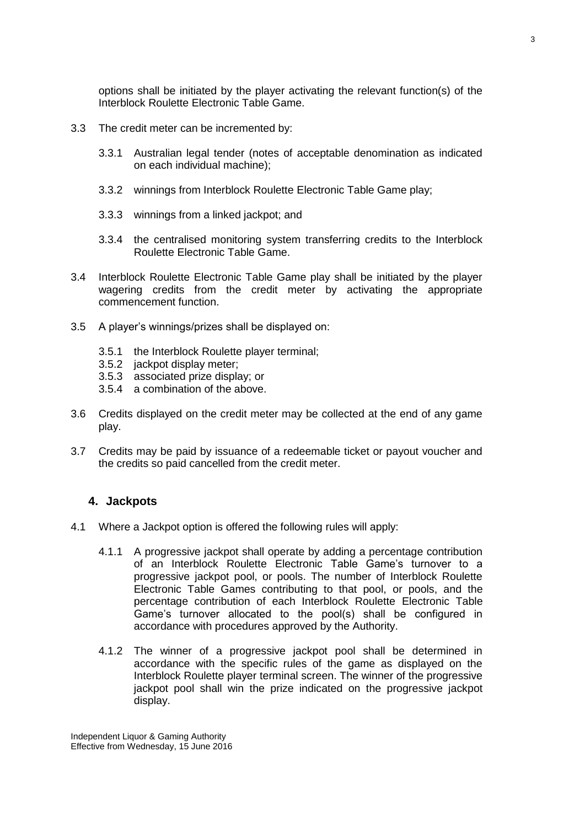options shall be initiated by the player activating the relevant function(s) of the Interblock Roulette Electronic Table Game.

- 3.3 The credit meter can be incremented by:
	- 3.3.1 Australian legal tender (notes of acceptable denomination as indicated on each individual machine);
	- 3.3.2 winnings from Interblock Roulette Electronic Table Game play;
	- 3.3.3 winnings from a linked jackpot; and
	- 3.3.4 the centralised monitoring system transferring credits to the Interblock Roulette Electronic Table Game.
- 3.4 Interblock Roulette Electronic Table Game play shall be initiated by the player wagering credits from the credit meter by activating the appropriate commencement function.
- 3.5 A player's winnings/prizes shall be displayed on:
	- 3.5.1 the Interblock Roulette player terminal;
	- 3.5.2 jackpot display meter;
	- 3.5.3 associated prize display; or
	- 3.5.4 a combination of the above.
- 3.6 Credits displayed on the credit meter may be collected at the end of any game play.
- 3.7 Credits may be paid by issuance of a redeemable ticket or payout voucher and the credits so paid cancelled from the credit meter.

#### <span id="page-2-0"></span>**4. Jackpots**

- 4.1 Where a Jackpot option is offered the following rules will apply:
	- 4.1.1 A progressive jackpot shall operate by adding a percentage contribution of an Interblock Roulette Electronic Table Game's turnover to a progressive jackpot pool, or pools. The number of Interblock Roulette Electronic Table Games contributing to that pool, or pools, and the percentage contribution of each Interblock Roulette Electronic Table Game's turnover allocated to the pool(s) shall be configured in accordance with procedures approved by the Authority.
	- 4.1.2 The winner of a progressive jackpot pool shall be determined in accordance with the specific rules of the game as displayed on the Interblock Roulette player terminal screen. The winner of the progressive jackpot pool shall win the prize indicated on the progressive jackpot display.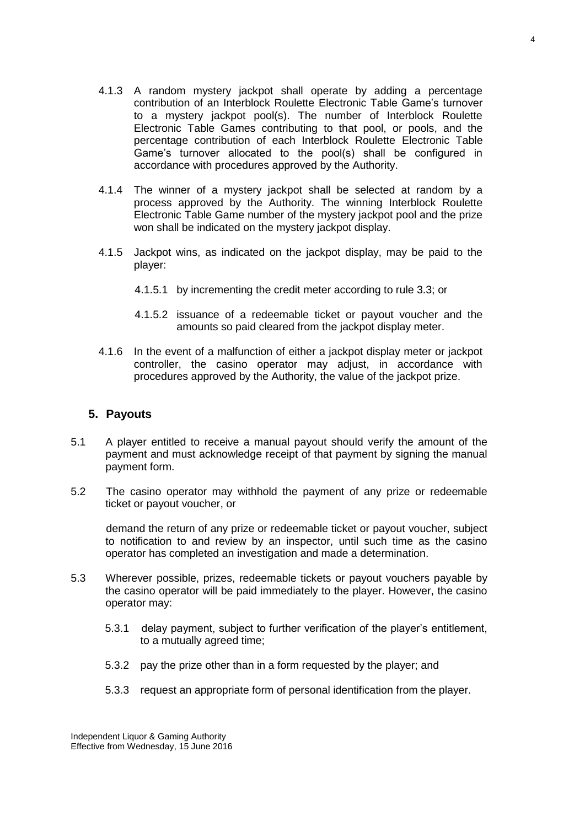- 4.1.3 A random mystery jackpot shall operate by adding a percentage contribution of an Interblock Roulette Electronic Table Game's turnover to a mystery jackpot pool(s). The number of Interblock Roulette Electronic Table Games contributing to that pool, or pools, and the percentage contribution of each Interblock Roulette Electronic Table Game's turnover allocated to the pool(s) shall be configured in accordance with procedures approved by the Authority.
- 4.1.4 The winner of a mystery jackpot shall be selected at random by a process approved by the Authority. The winning Interblock Roulette Electronic Table Game number of the mystery jackpot pool and the prize won shall be indicated on the mystery jackpot display.
- 4.1.5 Jackpot wins, as indicated on the jackpot display, may be paid to the player:
	- 4.1.5.1 by incrementing the credit meter according to rule 3.3; or
	- 4.1.5.2 issuance of a redeemable ticket or payout voucher and the amounts so paid cleared from the jackpot display meter.
- 4.1.6 In the event of a malfunction of either a jackpot display meter or jackpot controller, the casino operator may adjust, in accordance with procedures approved by the Authority, the value of the jackpot prize.

#### <span id="page-3-0"></span>**5. Payouts**

- 5.1 A player entitled to receive a manual payout should verify the amount of the payment and must acknowledge receipt of that payment by signing the manual payment form.
- 5.2 The casino operator may withhold the payment of any prize or redeemable ticket or payout voucher, or

demand the return of any prize or redeemable ticket or payout voucher, subject to notification to and review by an inspector, until such time as the casino operator has completed an investigation and made a determination.

- 5.3 Wherever possible, prizes, redeemable tickets or payout vouchers payable by the casino operator will be paid immediately to the player. However, the casino operator may:
	- 5.3.1 delay payment, subject to further verification of the player's entitlement, to a mutually agreed time;
	- 5.3.2 pay the prize other than in a form requested by the player; and
	- 5.3.3 request an appropriate form of personal identification from the player.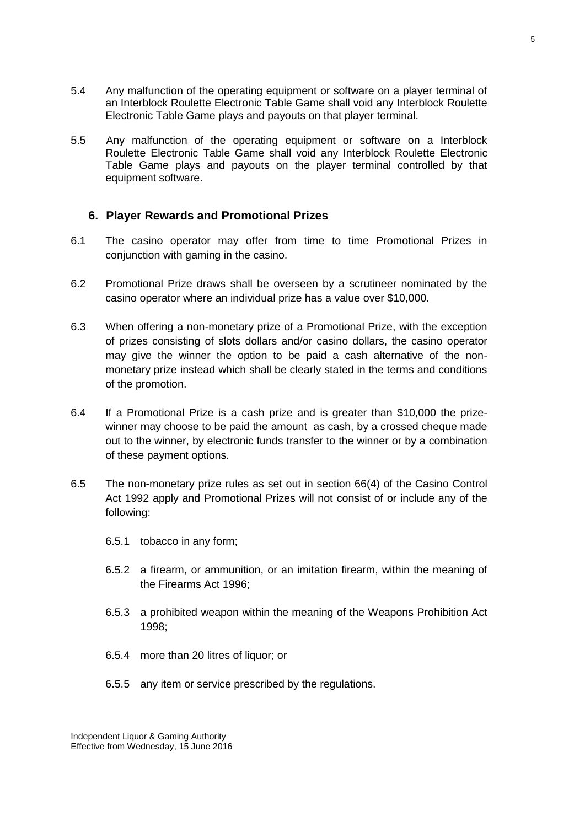- 5.4 Any malfunction of the operating equipment or software on a player terminal of an Interblock Roulette Electronic Table Game shall void any Interblock Roulette Electronic Table Game plays and payouts on that player terminal.
- 5.5 Any malfunction of the operating equipment or software on a Interblock Roulette Electronic Table Game shall void any Interblock Roulette Electronic Table Game plays and payouts on the player terminal controlled by that equipment software.

#### <span id="page-4-0"></span>**6. Player Rewards and Promotional Prizes**

- 6.1 The casino operator may offer from time to time Promotional Prizes in conjunction with gaming in the casino.
- 6.2 Promotional Prize draws shall be overseen by a scrutineer nominated by the casino operator where an individual prize has a value over \$10,000.
- 6.3 When offering a non-monetary prize of a Promotional Prize, with the exception of prizes consisting of slots dollars and/or casino dollars, the casino operator may give the winner the option to be paid a cash alternative of the nonmonetary prize instead which shall be clearly stated in the terms and conditions of the promotion.
- 6.4 If a Promotional Prize is a cash prize and is greater than \$10,000 the prizewinner may choose to be paid the amount as cash, by a crossed cheque made out to the winner, by electronic funds transfer to the winner or by a combination of these payment options.
- 6.5 The non-monetary prize rules as set out in section 66(4) of the Casino Control Act 1992 apply and Promotional Prizes will not consist of or include any of the following:
	- 6.5.1 tobacco in any form;
	- 6.5.2 a firearm, or ammunition, or an imitation firearm, within the meaning of the Firearms Act 1996;
	- 6.5.3 a prohibited weapon within the meaning of the Weapons Prohibition Act 1998;
	- 6.5.4 more than 20 litres of liquor; or
	- 6.5.5 any item or service prescribed by the regulations.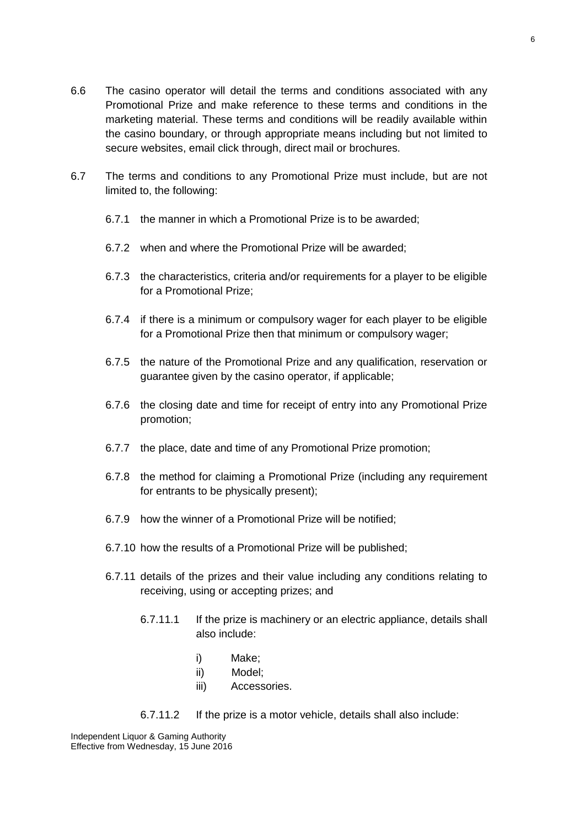- 6.7 The terms and conditions to any Promotional Prize must include, but are not limited to, the following:
	- 6.7.1 the manner in which a Promotional Prize is to be awarded;
	- 6.7.2 when and where the Promotional Prize will be awarded;
	- 6.7.3 the characteristics, criteria and/or requirements for a player to be eligible for a Promotional Prize;
	- 6.7.4 if there is a minimum or compulsory wager for each player to be eligible for a Promotional Prize then that minimum or compulsory wager;
	- 6.7.5 the nature of the Promotional Prize and any qualification, reservation or guarantee given by the casino operator, if applicable;
	- 6.7.6 the closing date and time for receipt of entry into any Promotional Prize promotion;
	- 6.7.7 the place, date and time of any Promotional Prize promotion;
	- 6.7.8 the method for claiming a Promotional Prize (including any requirement for entrants to be physically present);
	- 6.7.9 how the winner of a Promotional Prize will be notified;
	- 6.7.10 how the results of a Promotional Prize will be published;
	- 6.7.11 details of the prizes and their value including any conditions relating to receiving, using or accepting prizes; and
		- 6.7.11.1 If the prize is machinery or an electric appliance, details shall also include:
			- i) Make;
			- ii) Model;
			- iii) Accessories.
		- 6.7.11.2 If the prize is a motor vehicle, details shall also include: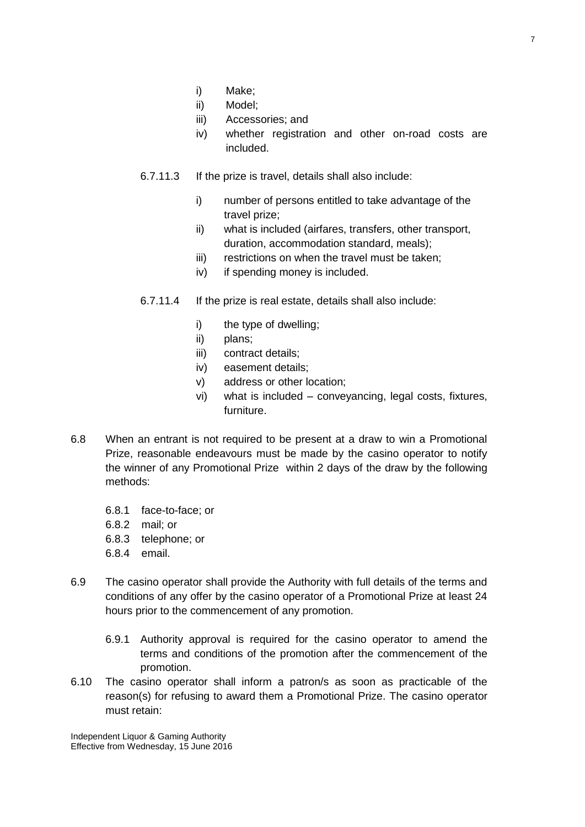- i) Make;
- ii) Model;
- iii) Accessories; and
- iv) whether registration and other on-road costs are included.
- 6.7.11.3 If the prize is travel, details shall also include:
	- i) number of persons entitled to take advantage of the travel prize;
	- ii) what is included (airfares, transfers, other transport, duration, accommodation standard, meals);
	- iii) restrictions on when the travel must be taken;
	- iv) if spending money is included.
- 6.7.11.4 If the prize is real estate, details shall also include:
	- i) the type of dwelling;
	- ii) plans;
	- iii) contract details;
	- iv) easement details;
	- v) address or other location;
	- vi) what is included conveyancing, legal costs, fixtures, furniture.
- 6.8 When an entrant is not required to be present at a draw to win a Promotional Prize, reasonable endeavours must be made by the casino operator to notify the winner of any Promotional Prize within 2 days of the draw by the following methods:
	- 6.8.1 face-to-face; or
	- 6.8.2 mail; or
	- 6.8.3 telephone; or
	- 6.8.4 email.
- 6.9 The casino operator shall provide the Authority with full details of the terms and conditions of any offer by the casino operator of a Promotional Prize at least 24 hours prior to the commencement of any promotion.
	- 6.9.1 Authority approval is required for the casino operator to amend the terms and conditions of the promotion after the commencement of the promotion.
- 6.10 The casino operator shall inform a patron/s as soon as practicable of the reason(s) for refusing to award them a Promotional Prize. The casino operator must retain: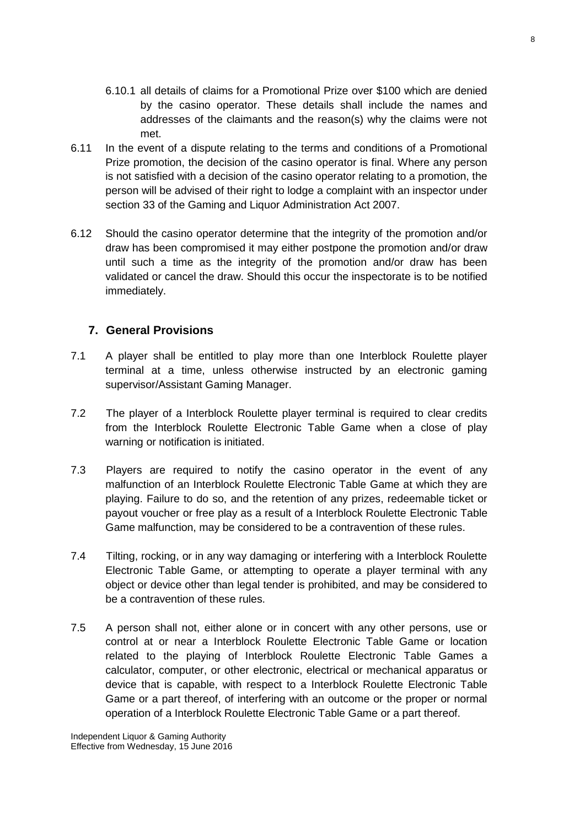- 6.10.1 all details of claims for a Promotional Prize over \$100 which are denied by the casino operator. These details shall include the names and addresses of the claimants and the reason(s) why the claims were not met.
- 6.11 In the event of a dispute relating to the terms and conditions of a Promotional Prize promotion, the decision of the casino operator is final. Where any person is not satisfied with a decision of the casino operator relating to a promotion, the person will be advised of their right to lodge a complaint with an inspector under section 33 of the Gaming and Liquor Administration Act 2007.
- 6.12 Should the casino operator determine that the integrity of the promotion and/or draw has been compromised it may either postpone the promotion and/or draw until such a time as the integrity of the promotion and/or draw has been validated or cancel the draw. Should this occur the inspectorate is to be notified immediately.

### <span id="page-7-0"></span>**7. General Provisions**

- 7.1 A player shall be entitled to play more than one Interblock Roulette player terminal at a time, unless otherwise instructed by an electronic gaming supervisor/Assistant Gaming Manager.
- 7.2 The player of a Interblock Roulette player terminal is required to clear credits from the Interblock Roulette Electronic Table Game when a close of play warning or notification is initiated.
- 7.3 Players are required to notify the casino operator in the event of any malfunction of an Interblock Roulette Electronic Table Game at which they are playing. Failure to do so, and the retention of any prizes, redeemable ticket or payout voucher or free play as a result of a Interblock Roulette Electronic Table Game malfunction, may be considered to be a contravention of these rules.
- 7.4 Tilting, rocking, or in any way damaging or interfering with a Interblock Roulette Electronic Table Game, or attempting to operate a player terminal with any object or device other than legal tender is prohibited, and may be considered to be a contravention of these rules.
- 7.5 A person shall not, either alone or in concert with any other persons, use or control at or near a Interblock Roulette Electronic Table Game or location related to the playing of Interblock Roulette Electronic Table Games a calculator, computer, or other electronic, electrical or mechanical apparatus or device that is capable, with respect to a Interblock Roulette Electronic Table Game or a part thereof, of interfering with an outcome or the proper or normal operation of a Interblock Roulette Electronic Table Game or a part thereof.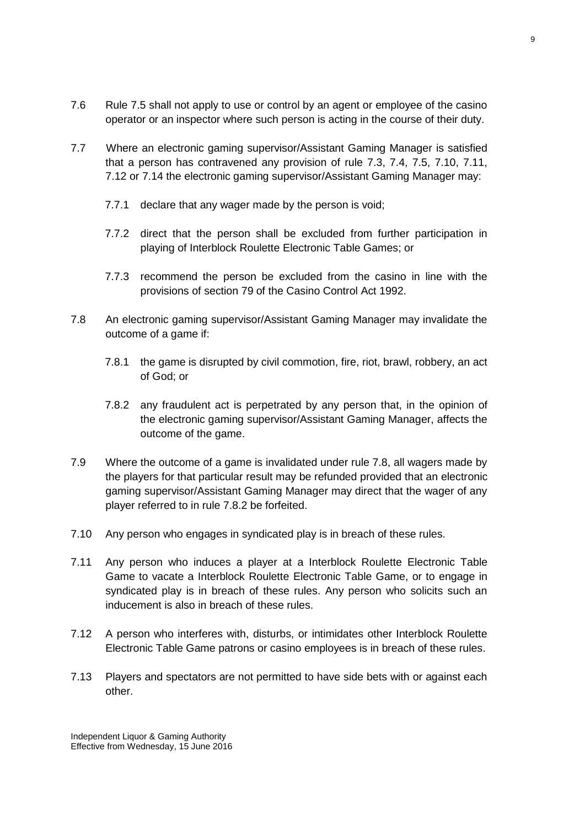- 7.6 Rule 7.5 shall not apply to use or control by an agent or employee of the casino operator or an inspector where such person is acting in the course of their duty.
- 7.7 Where an electronic gaming supervisor/Assistant Gaming Manager is satisfied that a person has contravened any provision of rule 7.3, 7.4, 7.5, 7.10, 7.11, 7.12 or 7.14 the electronic gaming supervisor/Assistant Gaming Manager may:
	- 7.7.1 declare that any wager made by the person is void;
	- 7.7.2 direct that the person shall be excluded from further participation in playing of Interblock Roulette Electronic Table Games; or
	- 7.7.3 recommend the person be excluded from the casino in line with the provisions of section 79 of the Casino Control Act 1992.
- 7.8 An electronic gaming supervisor/Assistant Gaming Manager may invalidate the outcome of a game if:
	- 7.8.1 the game is disrupted by civil commotion, fire, riot, brawl, robbery, an act of God; or
	- 7.8.2 any fraudulent act is perpetrated by any person that, in the opinion of the electronic gaming supervisor/Assistant Gaming Manager, affects the outcome of the game.
- 7.9 Where the outcome of a game is invalidated under rule 7.8, all wagers made by the players for that particular result may be refunded provided that an electronic gaming supervisor/Assistant Gaming Manager may direct that the wager of any player referred to in rule 7.8.2 be forfeited.
- 7.10 Any person who engages in syndicated play is in breach of these rules.
- 7.11 Any person who induces a player at a Interblock Roulette Electronic Table Game to vacate a Interblock Roulette Electronic Table Game, or to engage in syndicated play is in breach of these rules. Any person who solicits such an inducement is also in breach of these rules.
- 7.12 A person who interferes with, disturbs, or intimidates other Interblock Roulette Electronic Table Game patrons or casino employees is in breach of these rules.
- 7.13 Players and spectators are not permitted to have side bets with or against each other.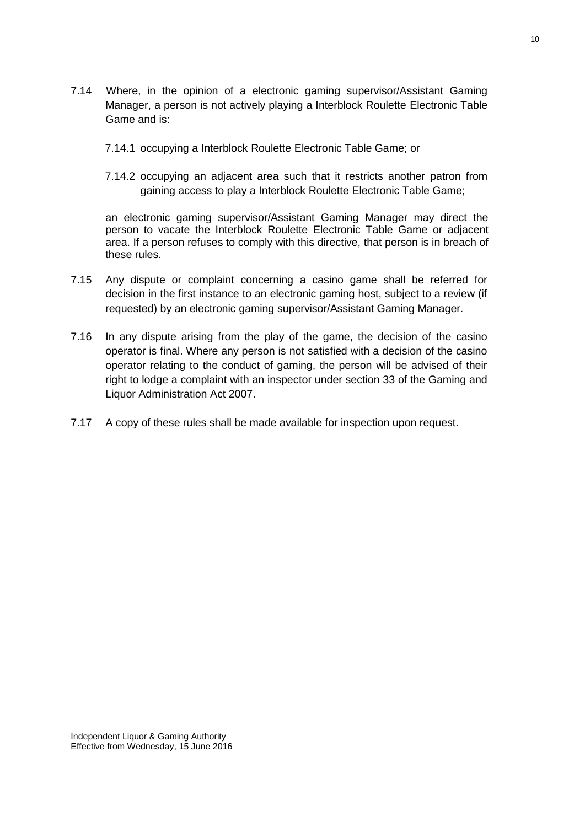- 7.14 Where, in the opinion of a electronic gaming supervisor/Assistant Gaming Manager, a person is not actively playing a Interblock Roulette Electronic Table Game and is:
	- 7.14.1 occupying a Interblock Roulette Electronic Table Game; or
	- 7.14.2 occupying an adjacent area such that it restricts another patron from gaining access to play a Interblock Roulette Electronic Table Game;

an electronic gaming supervisor/Assistant Gaming Manager may direct the person to vacate the Interblock Roulette Electronic Table Game or adjacent area. If a person refuses to comply with this directive, that person is in breach of these rules.

- 7.15 Any dispute or complaint concerning a casino game shall be referred for decision in the first instance to an electronic gaming host, subject to a review (if requested) by an electronic gaming supervisor/Assistant Gaming Manager.
- 7.16 In any dispute arising from the play of the game, the decision of the casino operator is final. Where any person is not satisfied with a decision of the casino operator relating to the conduct of gaming, the person will be advised of their right to lodge a complaint with an inspector under section 33 of the Gaming and Liquor Administration Act 2007.
- 7.17 A copy of these rules shall be made available for inspection upon request.